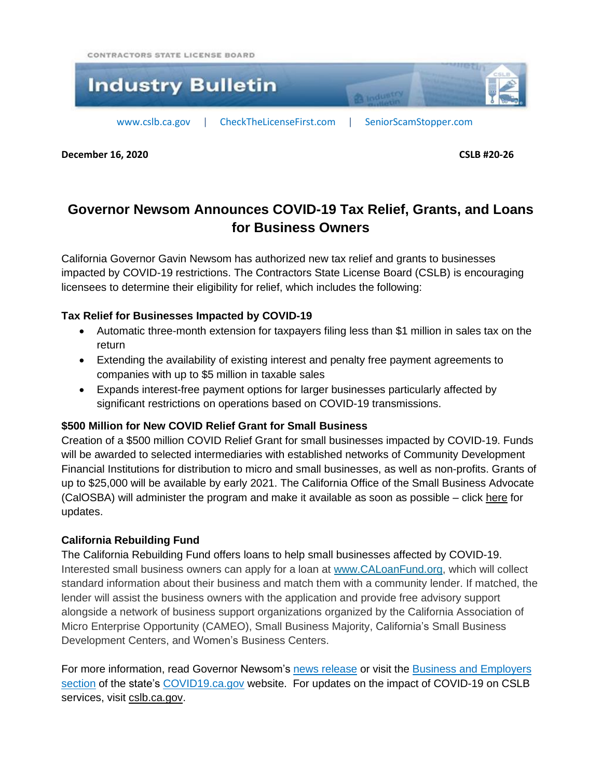CONTRACTORS STATE LICENSE BOARD



**December 16, 2020 CSLB #20-26**

# **Governor Newsom Announces COVID-19 Tax Relief, Grants, and Loans for Business Owners**

California Governor Gavin Newsom has authorized new tax relief and grants to businesses impacted by COVID-19 restrictions. The Contractors State License Board (CSLB) is encouraging licensees to determine their eligibility for relief, which includes the following:

## **Tax Relief for Businesses Impacted by COVID-19**

- Automatic three-month extension for taxpayers filing less than \$1 million in sales tax on the return
- Extending the availability of existing interest and penalty free payment agreements to companies with up to \$5 million in taxable sales
- Expands interest-free payment options for larger businesses particularly affected by significant restrictions on operations based on COVID-19 transmissions.

## **\$500 Million for New COVID Relief Grant for Small Business**

Creation of a \$500 million COVID Relief Grant for small businesses impacted by COVID-19. Funds will be awarded to selected intermediaries with established networks of Community Development Financial Institutions for distribution to micro and small businesses, as well as non-profits. Grants of up to \$25,000 will be available by early 2021. The California Office of the Small Business Advocate (CalOSBA) will administer the program and make it available as soon as possible – click [here](https://business.ca.gov/) for updates.

## **California Rebuilding Fund**

The California Rebuilding Fund offers loans to help small businesses affected by COVID-19. Interested small business owners can apply for a loan at [www.CALoanFund.org,](http://www.caloanfund.org/) which will collect standard information about their business and match them with a community lender. If matched, the lender will assist the business owners with the application and provide free advisory support alongside a network of business support organizations organized by the California Association of Micro Enterprise Opportunity (CAMEO), Small Business Majority, California's Small Business Development Centers, and Women's Business Centers.

For more information, read Governor Newsom's news [release](https://www.gov.ca.gov/2020/11/30/governor-newsom-announces-immediate-assistance-for-businesses-impacted-by-covid-19-including-temporary-tax-relief-and-500-million-in-grants/) or visit the Business and [Employers](https://covid19.ca.gov/business-and-employers/) [section](https://covid19.ca.gov/business-and-employers/) of the state's [COVID19.ca.gov](https://covid19.ca.gov/) website. For updates on the impact of COVID-19 on CSLB services, visit [cslb.ca.gov.](https://cslb.ca.gov/About_us/COVID-19.aspx)